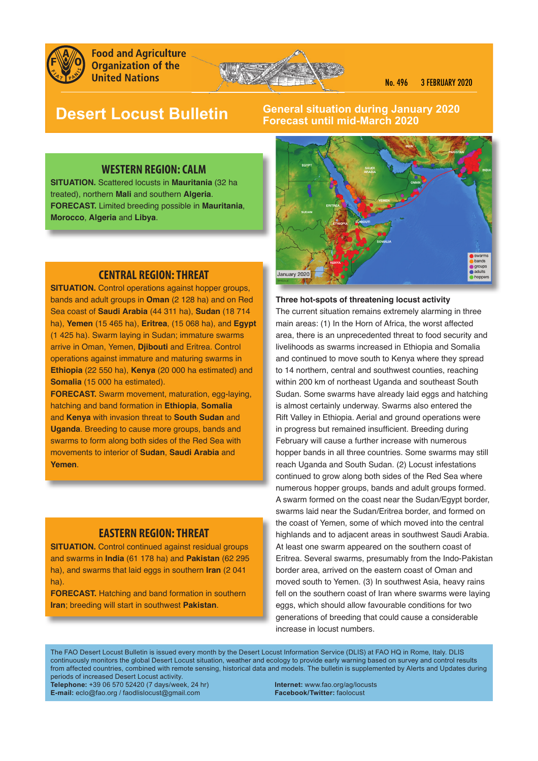

**Food and Agriculture Organization of the United Nations** 



# **Desert Locust Bulletin**

# **General situation during January 2020 Forecast until mid-March 2020**

# **WESTERN REGION: CALM**

**SITUATION.** Scattered locusts in **Mauritania** (32 ha treated), northern **Mali** and southern **Algeria**. **FORECAST.** Limited breeding possible in **Mauritania**, **Morocco**, **Algeria** and **Libya**.

# **CENTRAL REGION: THREAT**

**SITUATION.** Control operations against hopper groups, bands and adult groups in **Oman** (2 128 ha) and on Red Sea coast of **Saudi Arabia** (44 311 ha), **Sudan** (18 714 ha), **Yemen** (15 465 ha), **Eritrea**, (15 068 ha), and **Egypt** (1 425 ha). Swarm laying in Sudan; immature swarms arrive in Oman, Yemen, **Djibouti** and Eritrea. Control operations against immature and maturing swarms in **Ethiopia** (22 550 ha), **Kenya** (20 000 ha estimated) and **Somalia** (15 000 ha estimated).

**FORECAST.** Swarm movement, maturation, egg-laying, hatching and band formation in **Ethiopia**, **Somalia** and **Kenya** with invasion threat to **South Sudan** and **Uganda**. Breeding to cause more groups, bands and swarms to form along both sides of the Red Sea with movements to interior of **Sudan**, **Saudi Arabia** and **Yemen**.

### **EASTERN REGION: THREAT**

**SITUATION.** Control continued against residual groups and swarms in **India** (61 178 ha) and **Pakistan** (62 295 ha), and swarms that laid eggs in southern **Iran** (2 041 ha).

**FORECAST.** Hatching and band formation in southern **Iran**; breeding will start in southwest **Pakistan**.



**Three hot-spots of threatening locust activity**  The current situation remains extremely alarming in three main areas: (1) In the Horn of Africa, the worst affected area, there is an unprecedented threat to food security and livelihoods as swarms increased in Ethiopia and Somalia and continued to move south to Kenya where they spread to 14 northern, central and southwest counties, reaching within 200 km of northeast Uganda and southeast South Sudan. Some swarms have already laid eggs and hatching is almost certainly underway. Swarms also entered the Rift Valley in Ethiopia. Aerial and ground operations were in progress but remained insufficient. Breeding during February will cause a further increase with numerous hopper bands in all three countries. Some swarms may still reach Uganda and South Sudan. (2) Locust infestations continued to grow along both sides of the Red Sea where numerous hopper groups, bands and adult groups formed. A swarm formed on the coast near the Sudan/Egypt border, swarms laid near the Sudan/Eritrea border, and formed on the coast of Yemen, some of which moved into the central highlands and to adjacent areas in southwest Saudi Arabia. At least one swarm appeared on the southern coast of Eritrea. Several swarms, presumably from the Indo-Pakistan border area, arrived on the eastern coast of Oman and moved south to Yemen. (3) In southwest Asia, heavy rains fell on the southern coast of Iran where swarms were laying eggs, which should allow favourable conditions for two generations of breeding that could cause a considerable increase in locust numbers.

The FAO Desert Locust Bulletin is issued every month by the Desert Locust Information Service (DLIS) at FAO HQ in Rome, Italy. DLIS continuously monitors the global Desert Locust situation, weather and ecology to provide early warning based on survey and control results from affected countries, combined with remote sensing, historical data and models. The bulletin is supplemented by Alerts and Updates during periods of increased Desert Locust activity.

**Telephone:** +39 06 570 52420 (7 days/week, 24 hr) **Internet:** www.fao.org/ag/locusts **E-mail:** eclo@fao.org / faodlislocust@gmail.com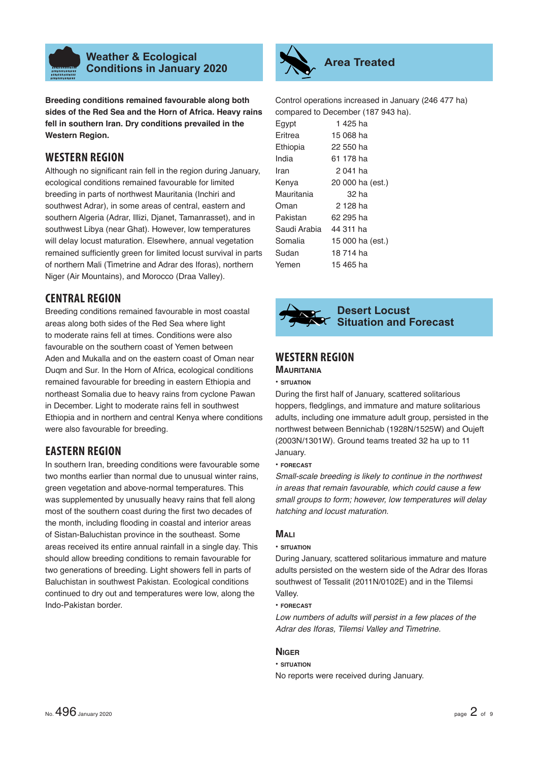

**Breeding conditions remained favourable along both sides of the Red Sea and the Horn of Africa. Heavy rains fell in southern Iran. Dry conditions prevailed in the Western Region.**

# **WESTERN REGION**

Although no significant rain fell in the region during January, ecological conditions remained favourable for limited breeding in parts of northwest Mauritania (Inchiri and southwest Adrar), in some areas of central, eastern and southern Algeria (Adrar, Illizi, Dianet, Tamanrasset), and in southwest Libya (near Ghat). However, low temperatures will delay locust maturation. Elsewhere, annual vegetation remained sufficiently green for limited locust survival in parts of northern Mali (Timetrine and Adrar des Iforas), northern Niger (Air Mountains), and Morocco (Draa Valley).

# **CENTRAL REGION**

Breeding conditions remained favourable in most coastal areas along both sides of the Red Sea where light to moderate rains fell at times. Conditions were also favourable on the southern coast of Yemen between Aden and Mukalla and on the eastern coast of Oman near Duqm and Sur. In the Horn of Africa, ecological conditions remained favourable for breeding in eastern Ethiopia and northeast Somalia due to heavy rains from cyclone Pawan in December. Light to moderate rains fell in southwest Ethiopia and in northern and central Kenya where conditions were also favourable for breeding.

# **EASTERN REGION**

In southern Iran, breeding conditions were favourable some two months earlier than normal due to unusual winter rains, green vegetation and above-normal temperatures. This was supplemented by unusually heavy rains that fell along most of the southern coast during the first two decades of the month, including flooding in coastal and interior areas of Sistan-Baluchistan province in the southeast. Some areas received its entire annual rainfall in a single day. This should allow breeding conditions to remain favourable for two generations of breeding. Light showers fell in parts of Baluchistan in southwest Pakistan. Ecological conditions continued to dry out and temperatures were low, along the Indo-Pakistan border.



Control operations increased in January (246 477 ha) compared to December (187 943 ha).

| Egypt        | 1425 ha          |
|--------------|------------------|
| Eritrea      | 15 068 ha        |
| Ethiopia     | 22 550 ha        |
| India        | 61 178 ha        |
| Iran         | 2 041 ha         |
| Kenya        | 20 000 ha (est.) |
| Mauritania   | 32 ha            |
| Oman         | 2 128 ha         |
| Pakistan     | 62 295 ha        |
| Saudi Arabia | 44 311 ha        |
| Somalia      | 15 000 ha (est.) |
| Sudan        | 18 714 ha        |
| Yemen        | 15 465 ha        |



# **Desert Locust Situation and Forecast**

# **WESTERN REGION**

# **MAURITANIA**

#### **• SITUATION**

During the first half of January, scattered solitarious hoppers, fledglings, and immature and mature solitarious adults, including one immature adult group, persisted in the northwest between Bennichab (1928N/1525W) and Oujeft (2003N/1301W). Ground teams treated 32 ha up to 11 January.

#### **• FORECAST**

*Small-scale breeding is likely to continue in the northwest in areas that remain favourable, which could cause a few small groups to form; however, low temperatures will delay hatching and locust maturation.* 

# **MALI**

#### **• SITUATION**

During January, scattered solitarious immature and mature adults persisted on the western side of the Adrar des Iforas southwest of Tessalit (2011N/0102E) and in the Tilemsi Valley.

# **• FORECAST**

*Low numbers of adults will persist in a few places of the Adrar des Iforas, Tilemsi Valley and Timetrine.*

# **NIGER**

# **• SITUATION**

No reports were received during January.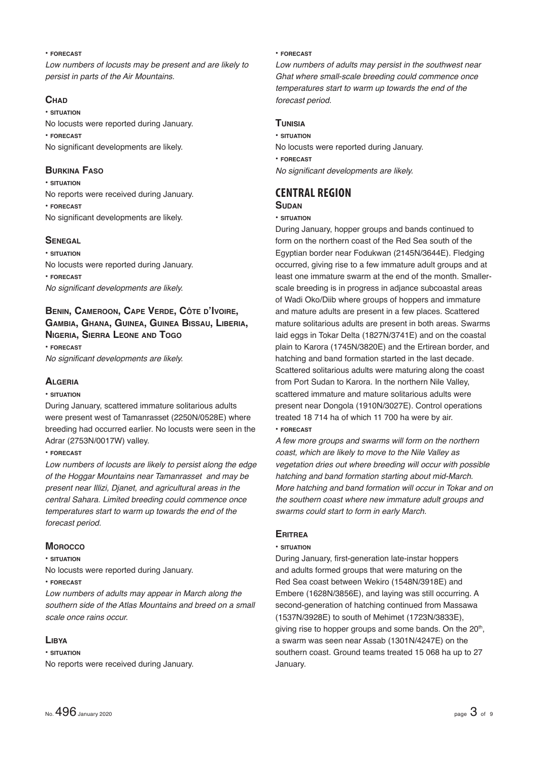#### **• FORECAST**

*Low numbers of locusts may be present and are likely to persist in parts of the Air Mountains.*

### **CHAD**

**• SITUATION** No locusts were reported during January. **• FORECAST** No significant developments are likely.

# **BURKINA FASO**

**• SITUATION** No reports were received during January. **• FORECAST** No significant developments are likely.

# **SENEGAL**

**• SITUATION** No locusts were reported during January. **• FORECAST** *No significant developments are likely.* 

# **BENIN, CAMEROON, CAPE VERDE, CÔTE D'IVOIRE, GAMBIA, GHANA, GUINEA, GUINEA BISSAU, LIBERIA, NIGERIA, SIERRA LEONE AND TOGO**

**• FORECAST** *No significant developments are likely.* 

# **ALGERIA**

# **• SITUATION**

During January, scattered immature solitarious adults were present west of Tamanrasset (2250N/0528E) where breeding had occurred earlier. No locusts were seen in the Adrar (2753N/0017W) valley.

**• FORECAST**

*Low numbers of locusts are likely to persist along the edge of the Hoggar Mountains near Tamanrasset and may be present near Illizi, Djanet, and agricultural areas in the central Sahara. Limited breeding could commence once temperatures start to warm up towards the end of the forecast period.*

# **MOROCCO**

### **• SITUATION**

No locusts were reported during January.

# **• FORECAST**

*Low numbers of adults may appear in March along the southern side of the Atlas Mountains and breed on a small scale once rains occur.*

# **LIBYA**

**• SITUATION**

No reports were received during January.

#### **• FORECAST**

*Low numbers of adults may persist in the southwest near Ghat where small-scale breeding could commence once temperatures start to warm up towards the end of the forecast period.*

### **TUNISIA**

**• SITUATION** No locusts were reported during January.

**• FORECAST**

*No significant developments are likely.* 

# **CENTRAL REGION**

# **SUDAN**

#### **• SITUATION**

During January, hopper groups and bands continued to form on the northern coast of the Red Sea south of the Egyptian border near Fodukwan (2145N/3644E). Fledging occurred, giving rise to a few immature adult groups and at least one immature swarm at the end of the month. Smallerscale breeding is in progress in adjance subcoastal areas of Wadi Oko/Diib where groups of hoppers and immature and mature adults are present in a few places. Scattered mature solitarious adults are present in both areas. Swarms laid eggs in Tokar Delta (1827N/3741E) and on the coastal plain to Karora (1745N/3820E) and the Ertirean border, and hatching and band formation started in the last decade. Scattered solitarious adults were maturing along the coast from Port Sudan to Karora. In the northern Nile Valley, scattered immature and mature solitarious adults were present near Dongola (1910N/3027E). Control operations treated 18 714 ha of which 11 700 ha were by air.

#### **• FORECAST**

*A few more groups and swarms will form on the northern coast, which are likely to move to the Nile Valley as vegetation dries out where breeding will occur with possible hatching and band formation starting about mid-March. More hatching and band formation will occur in Tokar and on the southern coast where new immature adult groups and swarms could start to form in early March.* 

# **ERITREA**

#### **• SITUATION**

During January, first-generation late-instar hoppers and adults formed groups that were maturing on the Red Sea coast between Wekiro (1548N/3918E) and Embere (1628N/3856E), and laying was still occurring. A second-generation of hatching continued from Massawa (1537N/3928E) to south of Mehimet (1723N/3833E), giving rise to hopper groups and some bands. On the 20<sup>th</sup>, a swarm was seen near Assab (1301N/4247E) on the southern coast. Ground teams treated 15 068 ha up to 27 January.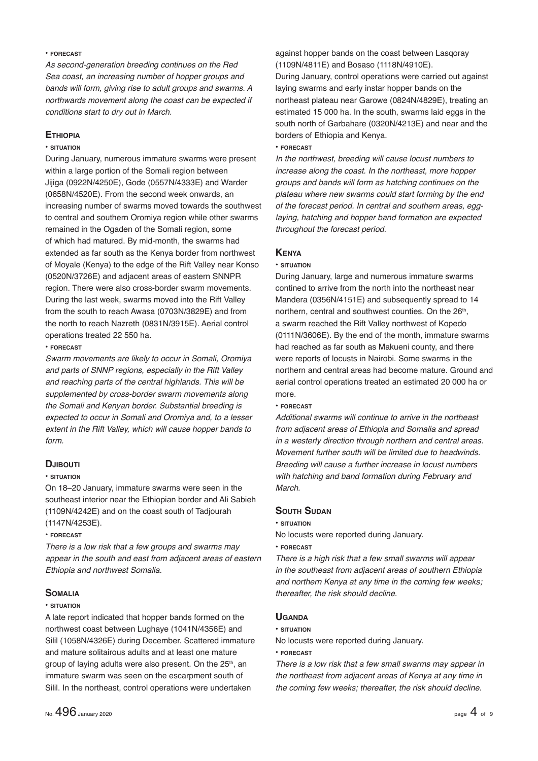#### **• FORECAST**

*As second-generation breeding continues on the Red Sea coast, an increasing number of hopper groups and bands will form, giving rise to adult groups and swarms. A northwards movement along the coast can be expected if conditions start to dry out in March.*

### **ETHIOPIA**

### **• SITUATION**

During January, numerous immature swarms were present within a large portion of the Somali region between Jijiga (0922N/4250E), Gode (0557N/4333E) and Warder (0658N/4520E). From the second week onwards, an increasing number of swarms moved towards the southwest to central and southern Oromiya region while other swarms remained in the Ogaden of the Somali region, some of which had matured. By mid-month, the swarms had extended as far south as the Kenya border from northwest of Moyale (Kenya) to the edge of the Rift Valley near Konso (0520N/3726E) and adjacent areas of eastern SNNPR region. There were also cross-border swarm movements. During the last week, swarms moved into the Rift Valley from the south to reach Awasa (0703N/3829E) and from the north to reach Nazreth (0831N/3915E). Aerial control operations treated 22 550 ha.

#### **• FORECAST**

*Swarm movements are likely to occur in Somali, Oromiya and parts of SNNP regions, especially in the Rift Valley and reaching parts of the central highlands. This will be supplemented by cross-border swarm movements along the Somali and Kenyan border. Substantial breeding is expected to occur in Somali and Oromiya and, to a lesser extent in the Rift Valley, which will cause hopper bands to form.* 

#### **DJIBOUTI**

#### **• SITUATION**

On 18–20 January, immature swarms were seen in the southeast interior near the Ethiopian border and Ali Sabieh (1109N/4242E) and on the coast south of Tadjourah (1147N/4253E).

#### **• FORECAST**

*There is a low risk that a few groups and swarms may appear in the south and east from adjacent areas of eastern Ethiopia and northwest Somalia.* 

#### **SOMALIA**

#### **• SITUATION**

A late report indicated that hopper bands formed on the northwest coast between Lughaye (1041N/4356E) and Silil (1058N/4326E) during December. Scattered immature and mature solitairous adults and at least one mature group of laying adults were also present. On the 25<sup>th</sup>, an immature swarm was seen on the escarpment south of Silil. In the northeast, control operations were undertaken

against hopper bands on the coast between Lasqoray (1109N/4811E) and Bosaso (1118N/4910E).

During January, control operations were carried out against laying swarms and early instar hopper bands on the northeast plateau near Garowe (0824N/4829E), treating an estimated 15 000 ha. In the south, swarms laid eggs in the south north of Garbahare (0320N/4213E) and near and the borders of Ethiopia and Kenya.

#### **• FORECAST**

*In the northwest, breeding will cause locust numbers to increase along the coast. In the northeast, more hopper groups and bands will form as hatching continues on the plateau where new swarms could start forming by the end of the forecast period. In central and southern areas, egglaying, hatching and hopper band formation are expected throughout the forecast period.*

#### **KENYA**

#### **• SITUATION**

During January, large and numerous immature swarms contined to arrive from the north into the northeast near Mandera (0356N/4151E) and subsequently spread to 14 northern, central and southwest counties. On the 26<sup>th</sup>, a swarm reached the Rift Valley northwest of Kopedo (0111N/3606E). By the end of the month, immature swarms had reached as far south as Makueni county, and there were reports of locusts in Nairobi. Some swarms in the northern and central areas had become mature. Ground and aerial control operations treated an estimated 20 000 ha or more.

#### **• FORECAST**

*Additional swarms will continue to arrive in the northeast from adjacent areas of Ethiopia and Somalia and spread in a westerly direction through northern and central areas. Movement further south will be limited due to headwinds. Breeding will cause a further increase in locust numbers with hatching and band formation during February and March.*

#### **SOUTH SUDAN**

**• SITUATION**

No locusts were reported during January.

**• FORECAST**

*There is a high risk that a few small swarms will appear in the southeast from adjacent areas of southern Ethiopia and northern Kenya at any time in the coming few weeks; thereafter, the risk should decline.*

#### **UGANDA**

#### **• SITUATION**

No locusts were reported during January.

**• FORECAST**

*There is a low risk that a few small swarms may appear in the northeast from adjacent areas of Kenya at any time in the coming few weeks; thereafter, the risk should decline.*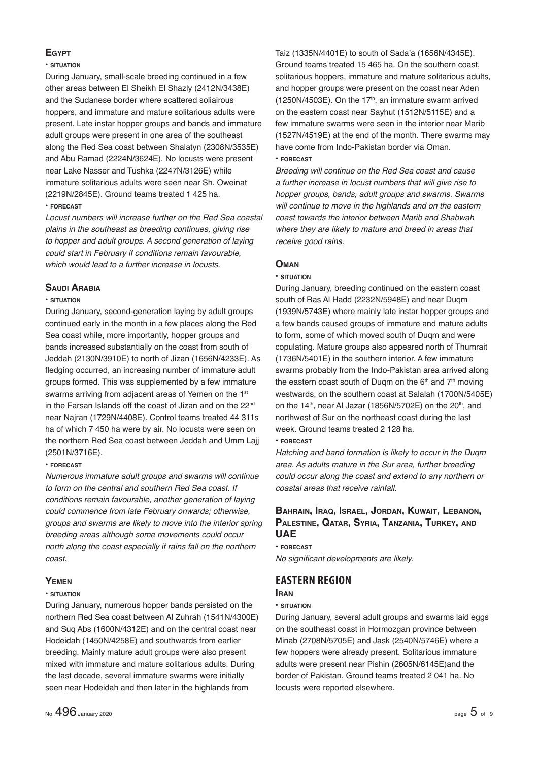# **EGYPT**

#### **• SITUATION**

During January, small-scale breeding continued in a few other areas between El Sheikh El Shazly (2412N/3438E) and the Sudanese border where scattered soliairous hoppers, and immature and mature solitarious adults were present. Late instar hopper groups and bands and immature adult groups were present in one area of the southeast along the Red Sea coast between Shalatyn (2308N/3535E) and Abu Ramad (2224N/3624E). No locusts were present near Lake Nasser and Tushka (2247N/3126E) while immature solitarious adults were seen near Sh. Oweinat (2219N/2845E). Ground teams treated 1 425 ha. **• FORECAST**

*Locust numbers will increase further on the Red Sea coastal plains in the southeast as breeding continues, giving rise to hopper and adult groups. A second generation of laying could start in February if conditions remain favourable, which would lead to a further increase in locusts.*

#### **SAUDI ARABIA**

#### **• SITUATION**

During January, second-generation laying by adult groups continued early in the month in a few places along the Red Sea coast while, more importantly, hopper groups and bands increased substantially on the coast from south of Jeddah (2130N/3910E) to north of Jizan (1656N/4233E). As fledging occurred, an increasing number of immature adult groups formed. This was supplemented by a few immature swarms arriving from adjacent areas of Yemen on the 1<sup>st</sup> in the Farsan Islands off the coast of Jizan and on the 22<sup>nd</sup> near Najran (1729N/4408E). Control teams treated 44 311s ha of which 7 450 ha were by air. No locusts were seen on the northern Red Sea coast between Jeddah and Umm Lajj (2501N/3716E).

#### **• FORECAST**

*Numerous immature adult groups and swarms will continue to form on the central and southern Red Sea coast. If conditions remain favourable, another generation of laying could commence from late February onwards; otherwise, groups and swarms are likely to move into the interior spring breeding areas although some movements could occur north along the coast especially if rains fall on the northern coast.*

### **YEMEN**

#### **• SITUATION**

During January, numerous hopper bands persisted on the northern Red Sea coast between Al Zuhrah (1541N/4300E) and Suq Abs (1600N/4312E) and on the central coast near Hodeidah (1450N/4258E) and southwards from earlier breeding. Mainly mature adult groups were also present mixed with immature and mature solitarious adults. During the last decade, several immature swarms were initially seen near Hodeidah and then later in the highlands from

Taiz (1335N/4401E) to south of Sada'a (1656N/4345E). Ground teams treated 15 465 ha. On the southern coast, solitarious hoppers, immature and mature solitarious adults, and hopper groups were present on the coast near Aden (1250N/4503E). On the  $17<sup>th</sup>$ , an immature swarm arrived on the eastern coast near Sayhut (1512N/5115E) and a few immature swarms were seen in the interior near Marib (1527N/4519E) at the end of the month. There swarms may have come from Indo-Pakistan border via Oman. **• FORECAST**

*Breeding will continue on the Red Sea coast and cause a further increase in locust numbers that will give rise to hopper groups, bands, adult groups and swarms. Swarms will continue to move in the highlands and on the eastern coast towards the interior between Marib and Shabwah where they are likely to mature and breed in areas that receive good rains.*

#### **OMAN**

#### **• SITUATION**

During January, breeding continued on the eastern coast south of Ras Al Hadd (2232N/5948E) and near Duqm (1939N/5743E) where mainly late instar hopper groups and a few bands caused groups of immature and mature adults to form, some of which moved south of Duam and were copulating. Mature groups also appeared north of Thumrait (1736N/5401E) in the southern interior. A few immature swarms probably from the Indo-Pakistan area arrived along the eastern coast south of Duqm on the  $6<sup>th</sup>$  and  $7<sup>th</sup>$  moving westwards, on the southern coast at Salalah (1700N/5405E) on the 14<sup>th</sup>, near Al Jazar (1856N/5702E) on the  $20<sup>th</sup>$ , and northwest of Sur on the northeast coast during the last week. Ground teams treated 2 128 ha.

#### **• FORECAST**

*Hatching and band formation is likely to occur in the Duqm area. As adults mature in the Sur area, further breeding could occur along the coast and extend to any northern or coastal areas that receive rainfall.*

# **BAHRAIN, IRAQ, ISRAEL, JORDAN, KUWAIT, LEBANON, PALESTINE, QATAR, SYRIA, TANZANIA, TURKEY, AND UAE**

**• FORECAST** *No significant developments are likely.* 

# **EASTERN REGION**

#### **IRAN**

#### **• SITUATION**

During January, several adult groups and swarms laid eggs on the southeast coast in Hormozgan province between Minab (2708N/5705E) and Jask (2540N/5746E) where a few hoppers were already present. Solitarious immature adults were present near Pishin (2605N/6145E)and the border of Pakistan. Ground teams treated 2 041 ha. No locusts were reported elsewhere.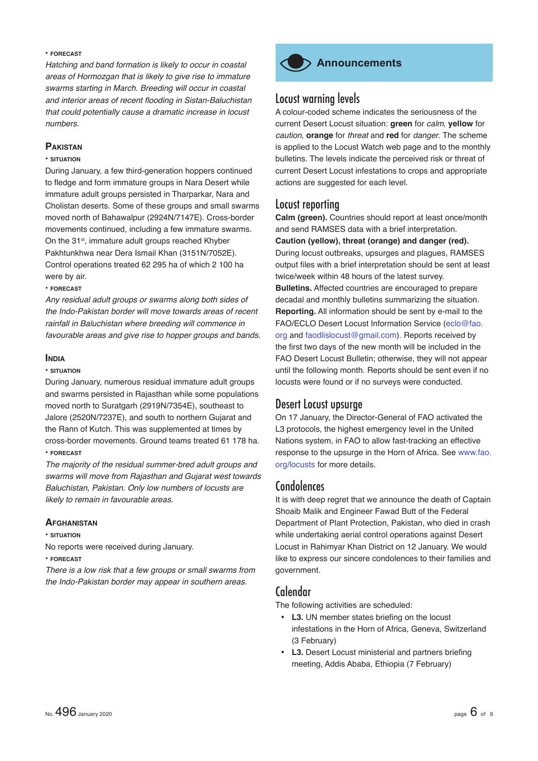#### **• FORECAST**

*Hatching and band formation is likely to occur in coastal areas of Hormozgan that is likely to give rise to immature swarms starting in March. Breeding will occur in coastal*  and interior areas of recent flooding in Sistan-Baluchistan *that could potentially cause a dramatic increase in locust numbers.*

#### **PAKISTAN**

#### **• SITUATION**

During January, a few third-generation hoppers continued to fledge and form immature groups in Nara Desert while immature adult groups persisted in Tharparkar, Nara and Cholistan deserts. Some of these groups and small swarms moved north of Bahawalpur (2924N/7147E). Cross-border movements continued, including a few immature swarms. On the 31<sup>st</sup>, immature adult groups reached Khyber Pakhtunkhwa near Dera Ismail Khan (3151N/7052E). Control operations treated 62 295 ha of which 2 100 ha were by air.

#### **• FORECAST**

*Any residual adult groups or swarms along both sides of the Indo-Pakistan border will move towards areas of recent rainfall in Baluchistan where breeding will commence in favourable areas and give rise to hopper groups and bands.*

#### **INDIA**

#### **• SITUATION**

During January, numerous residual immature adult groups and swarms persisted in Rajasthan while some populations moved north to Suratgarh (2919N/7354E), southeast to Jalore (2520N/7237E), and south to northern Gujarat and the Rann of Kutch. This was supplemented at times by cross-border movements. Ground teams treated 61 178 ha. **• FORECAST**

*The majority of the residual summer-bred adult groups and swarms will move from Rajasthan and Gujarat west towards Baluchistan, Pakistan. Only low numbers of locusts are likely to remain in favourable areas.* 

#### **AFGHANISTAN**

#### **• SITUATION**

No reports were received during January.

#### **• FORECAST**

*There is a low risk that a few groups or small swarms from the Indo-Pakistan border may appear in southern areas.*



# **Announcements**

# Locust warning levels

A colour-coded scheme indicates the seriousness of the current Desert Locust situation: **green** for *calm*, **yellow** for *caution*, **orange** for *threat* and **red** for *danger*. The scheme is applied to the Locust Watch web page and to the monthly bulletins. The levels indicate the perceived risk or threat of current Desert Locust infestations to crops and appropriate actions are suggested for each level.

# Locust reporting

**Calm (green).** Countries should report at least once/month and send RAMSES data with a brief interpretation. **Caution (yellow), threat (orange) and danger (red).** During locust outbreaks, upsurges and plagues, RAMSES output files with a brief interpretation should be sent at least twice/week within 48 hours of the latest survey. **Bulletins.** Affected countries are encouraged to prepare decadal and monthly bulletins summarizing the situation. **Reporting.** All information should be sent by e-mail to the FAO/ECLO Desert Locust Information Service (eclo@fao. org and faodlislocust@gmail.com). Reports received by the first two days of the new month will be included in the FAO Desert Locust Bulletin; otherwise, they will not appear until the following month. Reports should be sent even if no locusts were found or if no surveys were conducted.

# Desert Locust upsurge

On 17 January, the Director-General of FAO activated the L3 protocols, the highest emergency level in the United Nations system, in FAO to allow fast-tracking an effective response to the upsurge in the Horn of Africa. See www.fao. org/locusts for more details.

# **Condolences**

It is with deep regret that we announce the death of Captain Shoaib Malik and Engineer Fawad Butt of the Federal Department of Plant Protection, Pakistan, who died in crash while undertaking aerial control operations against Desert Locust in Rahimyar Khan District on 12 January. We would like to express our sincere condolences to their families and government.

# Calendar

The following activities are scheduled:

- L3. UN member states briefing on the locust infestations in the Horn of Africa, Geneva, Switzerland (3 February)
- L3. Desert Locust ministerial and partners briefing meeting, Addis Ababa, Ethiopia (7 February)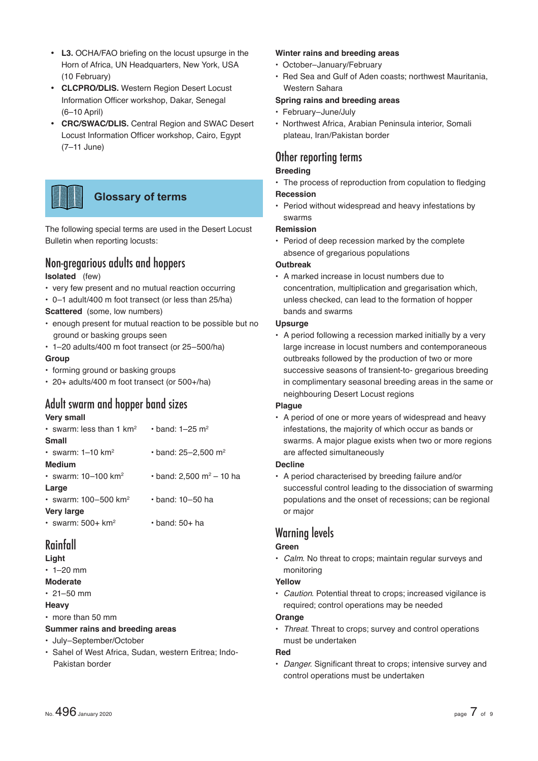- L3. OCHA/FAO briefing on the locust upsurge in the Horn of Africa, UN Headquarters, New York, USA (10 February)
- **CLCPRO/DLIS.** Western Region Desert Locust Information Officer workshop, Dakar, Senegal (6–10 April)
- **CRC/SWAC/DLIS.** Central Region and SWAC Desert Locust Information Officer workshop, Cairo, Egypt (7–11 June)



The following special terms are used in the Desert Locust Bulletin when reporting locusts:

# Non-gregarious adults and hoppers

# **Isolated** (few)

- very few present and no mutual reaction occurring
- 0–1 adult/400 m foot transect (or less than 25/ha)
- **Scattered** (some, low numbers)
- enough present for mutual reaction to be possible but no ground or basking groups seen
- 1–20 adults/400 m foot transect (or 25–500/ha) **Group**
- forming ground or basking groups
- 20+ adults/400 m foot transect (or 500+/ha)

# Adult swarm and hopper band sizes

# **Very small**

| • band: 2,500 m <sup>2</sup> – 10 ha |
|--------------------------------------|
|                                      |
|                                      |
|                                      |
|                                      |
|                                      |

# Rainfall

# **Light**

- $\cdot$  1–20 mm
- **Moderate**
- $\cdot$  21–50 mm
- **Heavy**
- more than 50 mm
- **Summer rains and breeding areas**
- July–September/October
- Sahel of West Africa, Sudan, western Eritrea; Indo-Pakistan border

# **Winter rains and breeding areas**

- October–January/February
- Red Sea and Gulf of Aden coasts; northwest Mauritania, Western Sahara

# **Spring rains and breeding areas**

- February–June/July
- Northwest Africa, Arabian Peninsula interior, Somali plateau, Iran/Pakistan border

# Other reporting terms **Breeding**

# • The process of reproduction from copulation to fledging **Recession**

• Period without widespread and heavy infestations by swarms

# **Remission**

• Period of deep recession marked by the complete absence of gregarious populations

# **Outbreak**

• A marked increase in locust numbers due to concentration, multiplication and gregarisation which, unless checked, can lead to the formation of hopper bands and swarms

# **Upsurge**

• A period following a recession marked initially by a very large increase in locust numbers and contemporaneous outbreaks followed by the production of two or more successive seasons of transient-to- gregarious breeding in complimentary seasonal breeding areas in the same or neighbouring Desert Locust regions

# **Plague**

• A period of one or more years of widespread and heavy infestations, the majority of which occur as bands or swarms. A major plague exists when two or more regions are affected simultaneously

# **Decline**

• A period characterised by breeding failure and/or successful control leading to the dissociation of swarming populations and the onset of recessions; can be regional or major

# Warning levels

# **Green**

• *Calm*. No threat to crops; maintain regular surveys and monitoring

# **Yellow**

• *Caution*. Potential threat to crops; increased vigilance is required; control operations may be needed

# **Orange**

• *Threat*. Threat to crops; survey and control operations must be undertaken

# **Red**

• *Danger*. Significant threat to crops; intensive survey and control operations must be undertaken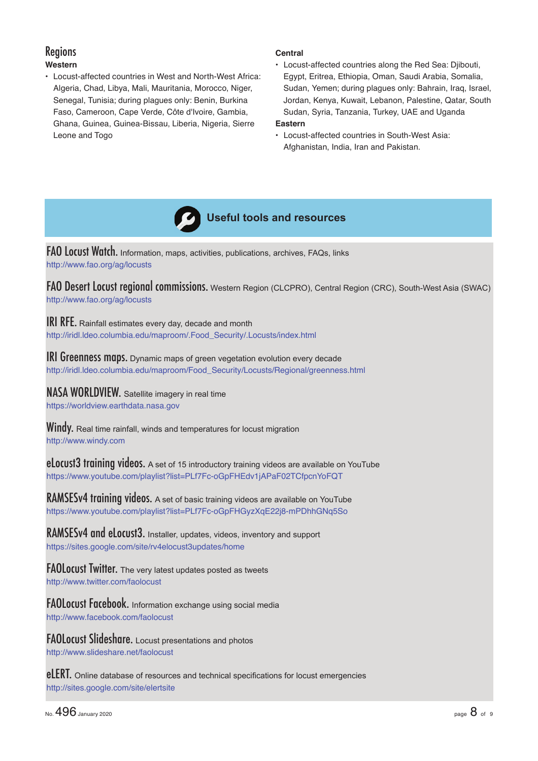# Regions **Western**

• Locust-affected countries in West and North-West Africa: Algeria, Chad, Libya, Mali, Mauritania, Morocco, Niger, Senegal, Tunisia; during plagues only: Benin, Burkina Faso, Cameroon, Cape Verde, Côte d'Ivoire, Gambia, Ghana, Guinea, Guinea-Bissau, Liberia, Nigeria, Sierre Leone and Togo

### **Central**

• Locust-affected countries along the Red Sea: Djibouti, Egypt, Eritrea, Ethiopia, Oman, Saudi Arabia, Somalia, Sudan, Yemen; during plagues only: Bahrain, Iraq, Israel, Jordan, Kenya, Kuwait, Lebanon, Palestine, Qatar, South Sudan, Syria, Tanzania, Turkey, UAE and Uganda

# **Eastern**

• Locust-affected countries in South-West Asia: Afghanistan, India, Iran and Pakistan.



FAO Locust Watch. Information, maps, activities, publications, archives, FAQs, links http://www.fao.org/ag/locusts

FAO Desert Locust regional commissions. Western Region (CLCPRO), Central Region (CRC), South-West Asia (SWAC) http://www.fao.org/ag/locusts

**IRI RFE.** Rainfall estimates every day, decade and month http://iridl.ldeo.columbia.edu/maproom/.Food\_Security/.Locusts/index.html

**IRI Greenness maps.** Dynamic maps of green vegetation evolution every decade http://iridl.ldeo.columbia.edu/maproom/Food\_Security/Locusts/Regional/greenness.html

NASA WORLDVIEW. Satellite imagery in real time https://worldview.earthdata.nasa.gov

Windy. Real time rainfall, winds and temperatures for locust migration http://www.windy.com

eLocust3 training videos. A set of 15 introductory training videos are available on YouTube https://www.youtube.com/playlist?list=PLf7Fc-oGpFHEdv1jAPaF02TCfpcnYoFQT

RAMSESv4 training videos. A set of basic training videos are available on YouTube https://www.youtube.com/playlist?list=PLf7Fc-oGpFHGyzXqE22j8-mPDhhGNq5So

RAMSESv4 and eLocust3. Installer, updates, videos, inventory and support https://sites.google.com/site/rv4elocust3updates/home

FAOLocust Twitter. The very latest updates posted as tweets http://www.twitter.com/faolocust

FAOLocust Facebook. Information exchange using social media http://www.facebook.com/faolocust

FAOLocust Slideshare. Locust presentations and photos http://www.slideshare.net/faolocust

eLERT. Online database of resources and technical specifications for locust emergencies http://sites.google.com/site/elertsite